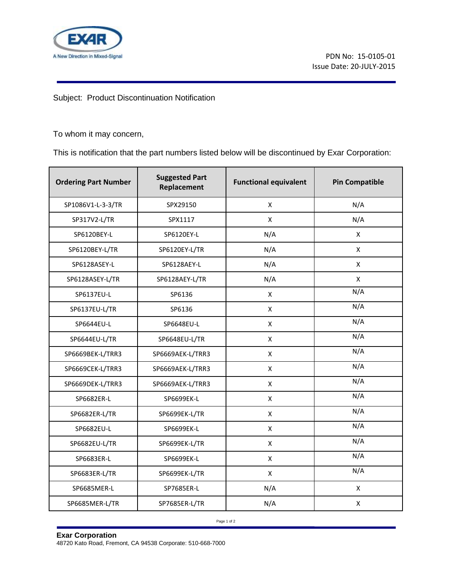

Subject: Product Discontinuation Notification

To whom it may concern,

This is notification that the part numbers listed below will be discontinued by Exar Corporation:

| <b>Ordering Part Number</b> | <b>Suggested Part</b><br>Replacement | <b>Functional equivalent</b> | <b>Pin Compatible</b> |
|-----------------------------|--------------------------------------|------------------------------|-----------------------|
| SP1086V1-L-3-3/TR           | SPX29150                             | X                            | N/A                   |
| SP317V2-L/TR                | SPX1117                              | X                            | N/A                   |
| SP6120BEY-L                 | SP6120EY-L                           | N/A                          | $\mathsf{X}$          |
| SP6120BEY-L/TR              | SP6120EY-L/TR                        | N/A                          | $\mathsf{X}$          |
| SP6128ASEY-L                | SP6128AEY-L                          | N/A                          | X                     |
| SP6128ASEY-L/TR             | SP6128AEY-L/TR                       | N/A                          | $\mathsf{x}$          |
| SP6137EU-L                  | SP6136                               | $\pmb{\times}$               | N/A                   |
| SP6137EU-L/TR               | SP6136                               | $\mathsf{x}$                 | N/A                   |
| SP6644EU-L                  | SP6648EU-L                           | $\mathsf{x}$                 | N/A                   |
| SP6644EU-L/TR               | SP6648EU-L/TR                        | X                            | N/A                   |
| SP6669BEK-L/TRR3            | SP6669AEK-L/TRR3                     | X                            | N/A                   |
| SP6669CEK-L/TRR3            | SP6669AEK-L/TRR3                     | X                            | N/A                   |
| SP6669DEK-L/TRR3            | SP6669AEK-L/TRR3                     | X                            | N/A                   |
| SP6682ER-L                  | SP6699EK-L                           | X                            | N/A                   |
| SP6682ER-L/TR               | SP6699EK-L/TR                        | X                            | N/A                   |
| SP6682EU-L                  | SP6699EK-L                           | X                            | N/A                   |
| SP6682EU-L/TR               | SP6699EK-L/TR                        | X                            | N/A                   |
| SP6683ER-L                  | SP6699EK-L                           | X                            | N/A                   |
| SP6683ER-L/TR               | SP6699EK-L/TR                        | X                            | N/A                   |
| SP6685MER-L                 | SP7685ER-L                           | N/A                          | X                     |
| SP6685MER-L/TR              | SP7685ER-L/TR                        | N/A                          | $\mathsf{x}$          |

Page 1 of 2